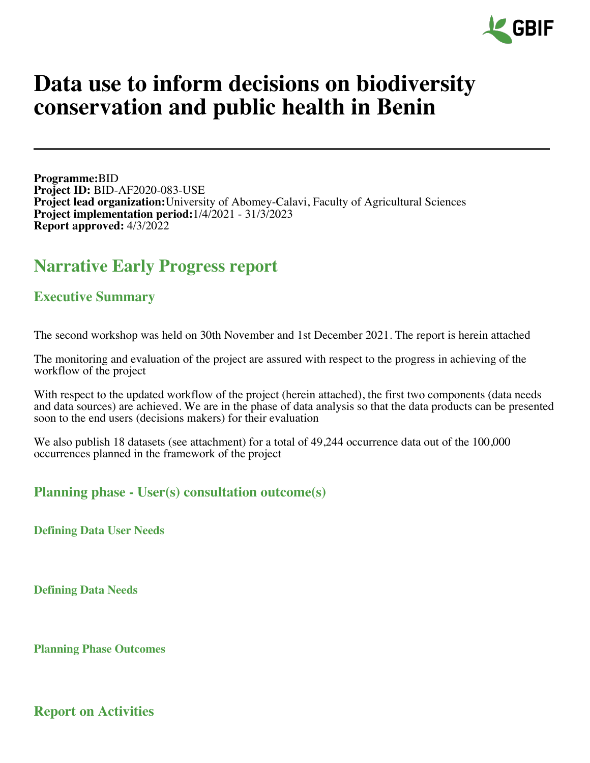

# **Data use to inform decisions on biodiversity conservation and public health in Benin**

**Programme:**BID **Project ID:** BID-AF2020-083-USE **Project lead organization:**University of Abomey-Calavi, Faculty of Agricultural Sciences **Project implementation period:**1/4/2021 - 31/3/2023 **Report approved:** 4/3/2022

## **Narrative Early Progress report**

## **Executive Summary**

The second workshop was held on 30th November and 1st December 2021. The report is herein attached

The monitoring and evaluation of the project are assured with respect to the progress in achieving of the workflow of the project

With respect to the updated workflow of the project (herein attached), the first two components (data needs and data sources) are achieved. We are in the phase of data analysis so that the data products can be presented soon to the end users (decisions makers) for their evaluation

We also publish 18 datasets (see attachment) for a total of 49,244 occurrence data out of the 100,000 occurrences planned in the framework of the project

## **Planning phase - User(s) consultation outcome(s)**

**Defining Data User Needs**

**Defining Data Needs**

**Planning Phase Outcomes**

**Report on Activities**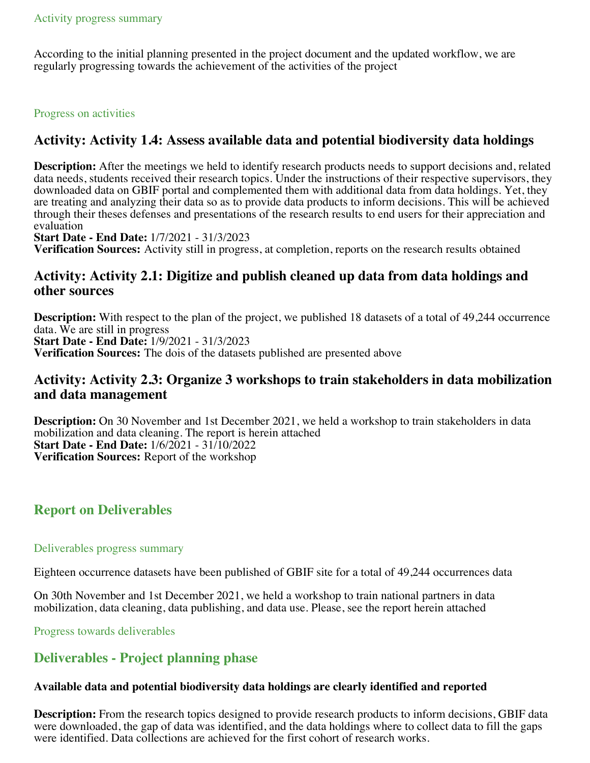According to the initial planning presented in the project document and the updated workflow, we are regularly progressing towards the achievement of the activities of the project

#### Progress on activities

## **Activity: Activity 1.4: Assess available data and potential biodiversity data holdings**

**Description:** After the meetings we held to identify research products needs to support decisions and, related data needs, students received their research topics. Under the instructions of their respective supervisors, they downloaded data on GBIF portal and complemented them with additional data from data holdings. Yet, they are treating and analyzing their data so as to provide data products to inform decisions. This will be achieved through their theses defenses and presentations of the research results to end users for their appreciation and evaluation

**Start Date - End Date:** 1/7/2021 - 31/3/2023

**Verification Sources:** Activity still in progress, at completion, reports on the research results obtained

## **Activity: Activity 2.1: Digitize and publish cleaned up data from data holdings and other sources**

**Description:** With respect to the plan of the project, we published 18 datasets of a total of 49,244 occurrence data. We are still in progress **Start Date - End Date:** 1/9/2021 - 31/3/2023 **Verification Sources:** The dois of the datasets published are presented above

## **Activity: Activity 2.3: Organize 3 workshops to train stakeholders in data mobilization and data management**

**Description:** On 30 November and 1st December 2021, we held a workshop to train stakeholders in data mobilization and data cleaning. The report is herein attached **Start Date - End Date:** 1/6/2021 - 31/10/2022 **Verification Sources:** Report of the workshop

## **Report on Deliverables**

#### Deliverables progress summary

Eighteen occurrence datasets have been published of GBIF site for a total of 49,244 occurrences data

On 30th November and 1st December 2021, we held a workshop to train national partners in data mobilization, data cleaning, data publishing, and data use. Please, see the report herein attached

Progress towards deliverables

## **Deliverables - Project planning phase**

#### **Available data and potential biodiversity data holdings are clearly identified and reported**

**Description:** From the research topics designed to provide research products to inform decisions, GBIF data were downloaded, the gap of data was identified, and the data holdings where to collect data to fill the gaps were identified. Data collections are achieved for the first cohort of research works.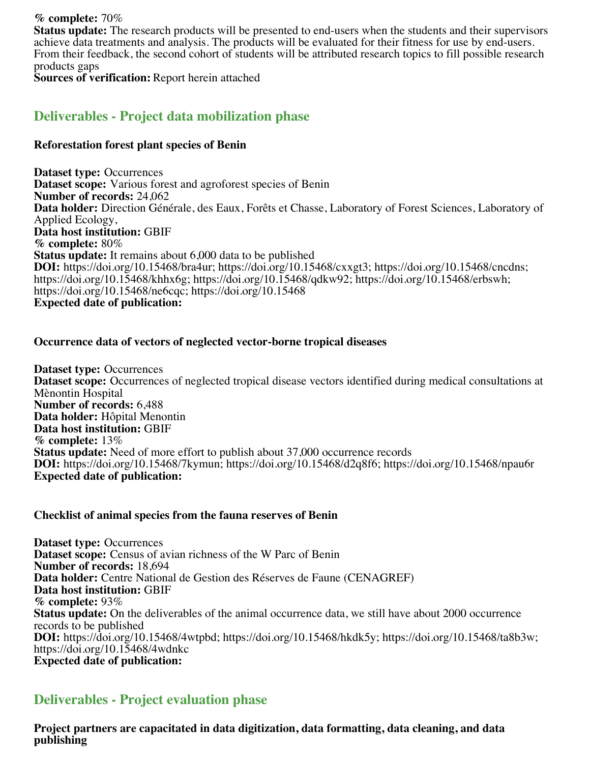**% complete:** 70% **Status update:** The research products will be presented to end-users when the students and their supervisors achieve data treatments and analysis. The products will be evaluated for their fitness for use by end-users. From their feedback, the second cohort of students will be attributed research topics to fill possible research products gaps

**Sources of verification:** Report herein attached

## **Deliverables - Project data mobilization phase**

#### **Reforestation forest plant species of Benin**

**Dataset type:** Occurrences **Dataset scope:** Various forest and agroforest species of Benin **Number of records:** 24,062 **Data holder:** Direction Générale, des Eaux, Forêts et Chasse, Laboratory of Forest Sciences, Laboratory of Applied Ecology, **Data host institution:** GBIF **% complete:** 80% **Status update:** It remains about 6,000 data to be published **DOI:** https://doi.org/10.15468/bra4ur; https://doi.org/10.15468/cxxgt3; https://doi.org/10.15468/cncdns; https://doi.org/10.15468/khhx6g; https://doi.org/10.15468/qdkw92; https://doi.org/10.15468/erbswh; https://doi.org/10.15468/ne6cqc; https://doi.org/10.15468 **Expected date of publication:**

#### **Occurrence data of vectors of neglected vector-borne tropical diseases**

**Dataset type:** Occurrences **Dataset scope:** Occurrences of neglected tropical disease vectors identified during medical consultations at Mènontin Hospital **Number of records:** 6,488 **Data holder:** Hôpital Menontin **Data host institution:** GBIF **% complete:** 13% **Status update:** Need of more effort to publish about 37,000 occurrence records **DOI:** https://doi.org/10.15468/7kymun; https://doi.org/10.15468/d2q8f6; https://doi.org/10.15468/npau6r **Expected date of publication:**

#### **Checklist of animal species from the fauna reserves of Benin**

**Dataset type:** Occurrences **Dataset scope:** Census of avian richness of the W Parc of Benin **Number of records:** 18,694 **Data holder:** Centre National de Gestion des Réserves de Faune (CENAGREF) **Data host institution:** GBIF **% complete:** 93% **Status update:** On the deliverables of the animal occurrence data, we still have about 2000 occurrence records to be published **DOI:** https://doi.org/10.15468/4wtpbd; https://doi.org/10.15468/hkdk5y; https://doi.org/10.15468/ta8b3w; https://doi.org/10.15468/4wdnkc **Expected date of publication:**

## **Deliverables - Project evaluation phase**

**Project partners are capacitated in data digitization, data formatting, data cleaning, and data publishing**